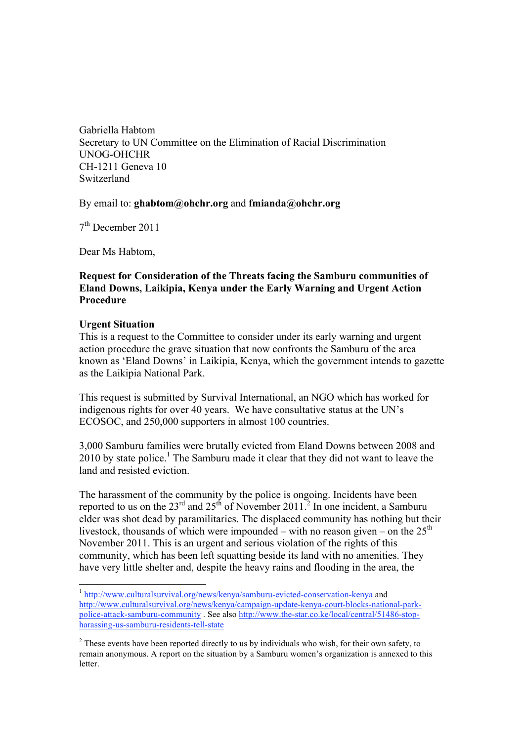Gabriella Habtom Secretary to UN Committee on the Elimination of Racial Discrimination UNOG-OHCHR CH-1211 Geneva 10 Switzerland

#### By email to: **ghabtom@ohchr.org** and **fmianda@ohchr.org**

 $7<sup>th</sup>$  December 2011

Dear Ms Habtom,

# **Request for Consideration of the Threats facing the Samburu communities of Eland Downs, Laikipia, Kenya under the Early Warning and Urgent Action Procedure**

## **Urgent Situation**

This is a request to the Committee to consider under its early warning and urgent action procedure the grave situation that now confronts the Samburu of the area known as 'Eland Downs' in Laikipia, Kenya, which the government intends to gazette as the Laikipia National Park.

This request is submitted by Survival International, an NGO which has worked for indigenous rights for over 40 years. We have consultative status at the UN's ECOSOC, and 250,000 supporters in almost 100 countries.

3,000 Samburu families were brutally evicted from Eland Downs between 2008 and 2010 by state police.<sup>1</sup> The Samburu made it clear that they did not want to leave the land and resisted eviction.

The harassment of the community by the police is ongoing. Incidents have been reported to us on the  $23<sup>rd</sup>$  and  $25<sup>th</sup>$  of November 2011.<sup>2</sup> In one incident, a Samburu elder was shot dead by paramilitaries. The displaced community has nothing but their livestock, thousands of which were impounded – with no reason given – on the  $25<sup>th</sup>$ November 2011. This is an urgent and serious violation of the rights of this community, which has been left squatting beside its land with no amenities. They have very little shelter and, despite the heavy rains and flooding in the area, the

 <sup>1</sup> http://www.culturalsurvival.org/news/kenya/samburu-evicted-conservation-kenya and http://www.culturalsurvival.org/news/kenya/campaign-update-kenya-court-blocks-national-parkpolice-attack-samburu-community . See also http://www.the-star.co.ke/local/central/51486-stopharassing-us-samburu-residents-tell-state

<sup>&</sup>lt;sup>2</sup> These events have been reported directly to us by individuals who wish, for their own safety, to remain anonymous. A report on the situation by a Samburu women's organization is annexed to this letter.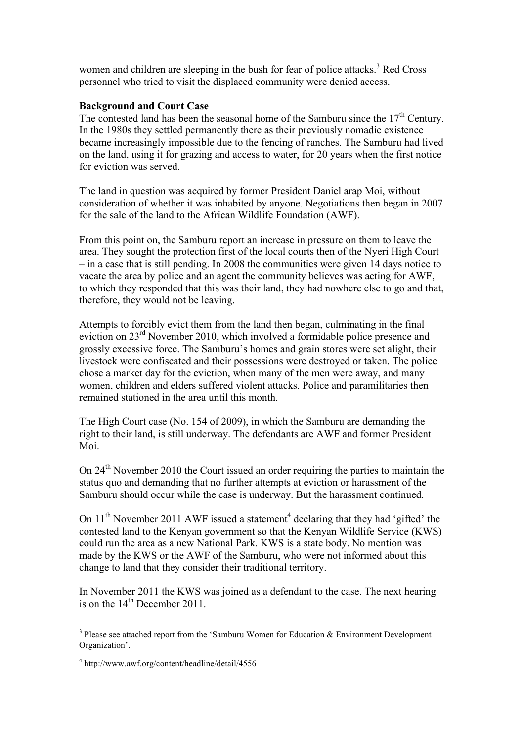women and children are sleeping in the bush for fear of police attacks.<sup>3</sup> Red Cross personnel who tried to visit the displaced community were denied access.

## **Background and Court Case**

The contested land has been the seasonal home of the Samburu since the  $17<sup>th</sup>$  Century. In the 1980s they settled permanently there as their previously nomadic existence became increasingly impossible due to the fencing of ranches. The Samburu had lived on the land, using it for grazing and access to water, for 20 years when the first notice for eviction was served.

The land in question was acquired by former President Daniel arap Moi, without consideration of whether it was inhabited by anyone. Negotiations then began in 2007 for the sale of the land to the African Wildlife Foundation (AWF).

From this point on, the Samburu report an increase in pressure on them to leave the area. They sought the protection first of the local courts then of the Nyeri High Court – in a case that is still pending. In 2008 the communities were given 14 days notice to vacate the area by police and an agent the community believes was acting for AWF, to which they responded that this was their land, they had nowhere else to go and that, therefore, they would not be leaving.

Attempts to forcibly evict them from the land then began, culminating in the final eviction on 23rd November 2010, which involved a formidable police presence and grossly excessive force. The Samburu's homes and grain stores were set alight, their livestock were confiscated and their possessions were destroyed or taken. The police chose a market day for the eviction, when many of the men were away, and many women, children and elders suffered violent attacks. Police and paramilitaries then remained stationed in the area until this month.

The High Court case (No. 154 of 2009), in which the Samburu are demanding the right to their land, is still underway. The defendants are AWF and former President Moi.

On 24<sup>th</sup> November 2010 the Court issued an order requiring the parties to maintain the status quo and demanding that no further attempts at eviction or harassment of the Samburu should occur while the case is underway. But the harassment continued.

On  $11<sup>th</sup>$  November 2011 AWF issued a statement<sup>4</sup> declaring that they had 'gifted' the contested land to the Kenyan government so that the Kenyan Wildlife Service (KWS) could run the area as a new National Park. KWS is a state body. No mention was made by the KWS or the AWF of the Samburu, who were not informed about this change to land that they consider their traditional territory.

In November 2011 the KWS was joined as a defendant to the case. The next hearing is on the  $14<sup>th</sup>$  December 2011.

 $3$  Please see attached report from the 'Samburu Women for Education & Environment Development Organization'.

<sup>4</sup> http://www.awf.org/content/headline/detail/4556